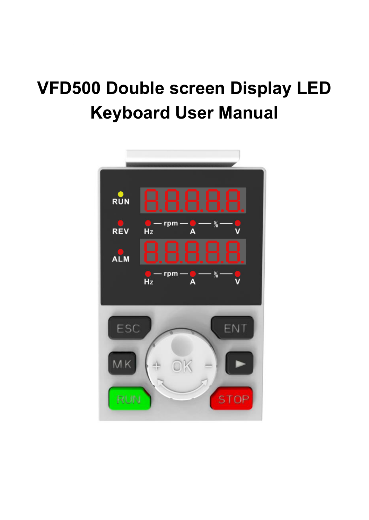# **VFD500 Double screen Display LED Keyboard User Manual**

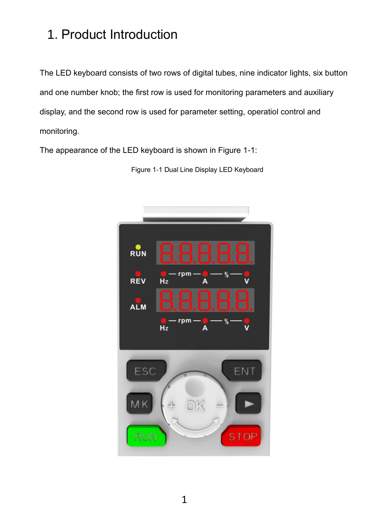## 1. Product Introduction

The LED keyboard consists of two rows of digital tubes, nine indicator lights, six button and one number knob; the first row is used for monitoring parameters and auxiliary display, and the second row is used for parameter setting, operatiol control and monitoring.

The appearance of the LED keyboard is shown in Figure 1-1:



Figure 1-1 Dual Line Display LED Keyboard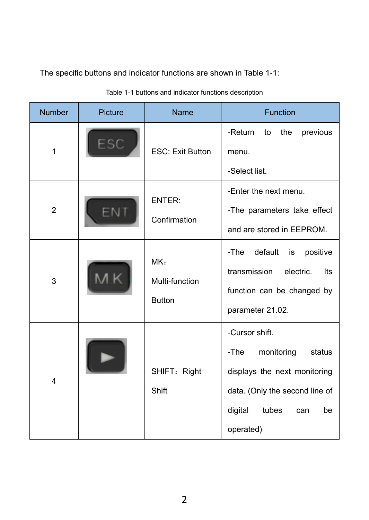The specific buttons and indicator functions are shown in Table 1-1:

| <b>Number</b>  | Picture | Name                                   | Function                                                                                                                                                       |
|----------------|---------|----------------------------------------|----------------------------------------------------------------------------------------------------------------------------------------------------------------|
| $\mathbf{1}$   | ESC     | <b>ESC: Exit Button</b>                | -Return<br>the<br>previous<br>to<br>menu.<br>-Select list.                                                                                                     |
| $\overline{2}$ | FN      | ENTER:<br>Confirmation                 | -Enter the next menu.<br>-The parameters take effect<br>and are stored in EEPROM.                                                                              |
| 3              |         | MK:<br>Multi-function<br><b>Button</b> | default is<br>-The<br>positive<br>transmission<br>electric.<br>Its<br>function can be changed by<br>parameter 21.02.                                           |
| 4              |         | SHIFT: Right<br>Shift                  | -Cursor shift.<br>-The<br>monitoring<br>status<br>displays the next monitoring<br>data. (Only the second line of<br>digital<br>tubes<br>be<br>can<br>operated) |

Table 1-1 buttons and indicator functions description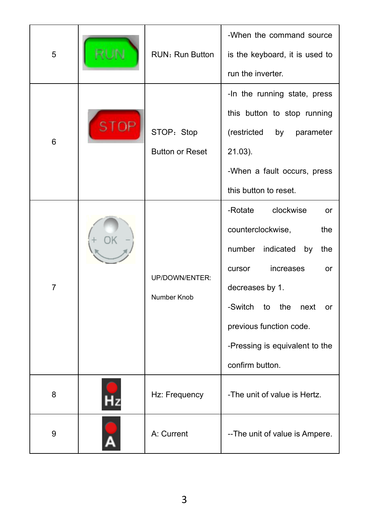| 5 |             | RUN: Run Button        | -When the command source<br>is the keyboard, it is used to  |
|---|-------------|------------------------|-------------------------------------------------------------|
|   |             |                        | run the inverter.                                           |
|   |             |                        | -In the running state, press<br>this button to stop running |
| 6 | <b>STOP</b> | STOP: Stop             | (restricted<br>parameter<br>by                              |
|   |             | <b>Button or Reset</b> | 21.03).                                                     |
|   |             |                        | -When a fault occurs, press                                 |
|   |             |                        | this button to reset.                                       |
|   |             |                        | clockwise<br>-Rotate<br>or                                  |
|   |             |                        | counterclockwise,<br>the                                    |
|   |             |                        | number<br>indicated by<br>the                               |
|   |             | UP/DOWN/ENTER:         | increases<br>cursor<br>or                                   |
| 7 |             |                        | decreases by 1.                                             |
|   |             | Number Knob            | -Switch to the next<br>or                                   |
|   |             |                        | previous function code.                                     |
|   |             |                        | -Pressing is equivalent to the                              |
|   |             |                        | confirm button.                                             |
| 8 |             | Hz: Frequency          | -The unit of value is Hertz.                                |
| 9 |             | A: Current             | -- The unit of value is Ampere.                             |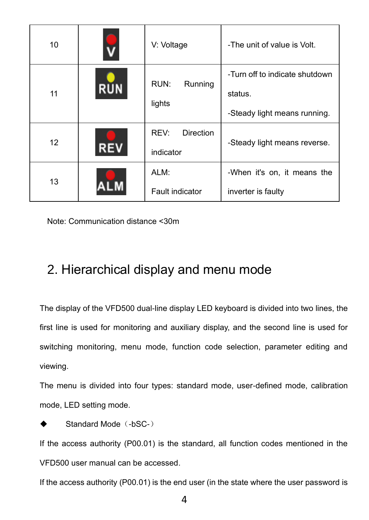| 10 |            | V: Voltage                     | -The unit of value is Volt.                                               |
|----|------------|--------------------------------|---------------------------------------------------------------------------|
| 11 | <b>RUN</b> | RUN:<br>Running<br>lights      | -Turn off to indicate shutdown<br>status.<br>-Steady light means running. |
| 12 | RE)        | Direction<br>REV:<br>indicator | -Steady light means reverse.                                              |
| 13 |            | ALM:<br>Fault indicator        | -When it's on, it means the<br>inverter is faulty                         |

Note: Communication distance <30m

### 2. Hierarchical display and menu mode

The display of the VFD500 dual-line display LED keyboard is divided into two lines, the first line is used for monitoring and auxiliary display, and the second line is used for switching monitoring, menu mode, function code selection, parameter editing and viewing.

The menu is divided into four types: standard mode, user-defined mode, calibration mode, LED setting mode.

```
Standard Mode (-bSC-)
```
If the access authority (P00.01) is the standard, all function codes mentioned in the VFD500 user manual can be accessed.

If the access authority (P00.01) is the end user (in the state where the user password is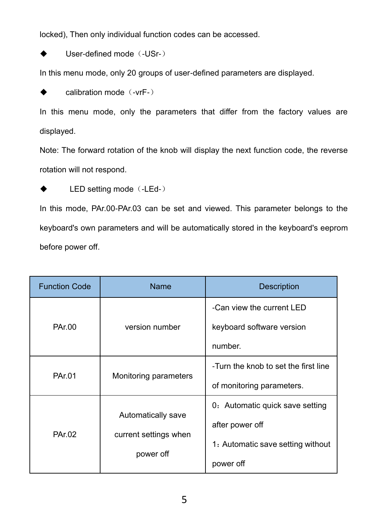locked), Then only individual function codes can be accessed.

User-defined mode (-USr-)

In this menu mode, only 20 groups of user-defined parameters are displayed.

calibration mode (-vrF-)

In this menu mode, only the parameters that differ from the factory values are displayed.

Note: The forward rotation of the knob will display the next function code, the reverse rotation will not respond.

◆ LED setting mode (-LEd-)

In this mode, PAr.00-PAr.03 can be set and viewed. This parameter belongs to the keyboard's own parameters and will be automatically stored in the keyboard's eeprom before power off.

| <b>Function Code</b> | Name                                                     | <b>Description</b>                                                                                   |
|----------------------|----------------------------------------------------------|------------------------------------------------------------------------------------------------------|
| PAr.00               | version number                                           | -Can view the current LED<br>keyboard software version<br>number.                                    |
| PAr.01               | Monitoring parameters                                    | -Turn the knob to set the first line<br>of monitoring parameters.                                    |
| PAr.02               | Automatically save<br>current settings when<br>power off | 0: Automatic quick save setting<br>after power off<br>1: Automatic save setting without<br>power off |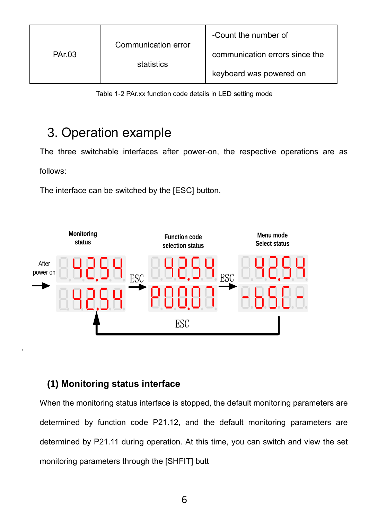| PAr.03 | Communication error<br>statistics | -Count the number of           |
|--------|-----------------------------------|--------------------------------|
|        |                                   | communication errors since the |
|        |                                   | keyboard was powered on        |

Table 1-2 PAr.xx function code details in LED setting mode

### 3. Operation example

The three switchable interfaces after power-on, the respective operations are as

follows:

.

The interface can be switched by the [ESC] button.



### **(1) Monitoring status interface**

When the monitoring status interface is stopped, the default monitoring parameters are determined by function code P21.12, and the default monitoring parameters are determined by P21.11 during operation. At this time, you can switch and view the set monitoring parameters through the [SHFIT] butt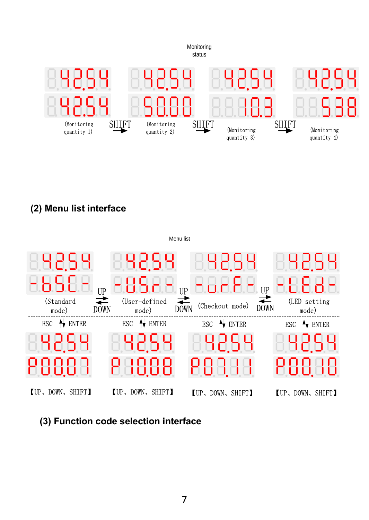

**(2) Menu list interface**



**(3) Function code selection interface**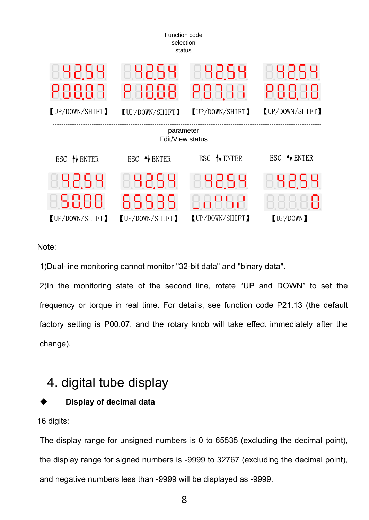

Note:

1)Dual-line monitoring cannot monitor "32-bit data" and "binary data".

2)In the monitoring state of the second line, rotate "UP and DOWN" to set the frequency or torque in real time. For details, see function code P21.13 (the default factory setting is P00.07, and the rotary knob will take effect immediately after the change).

### 4. digital tube display

### **Display of decimal data**

16 digits:

The display range for unsigned numbers is 0 to 65535 (excluding the decimal point), the display range for signed numbers is -9999 to 32767 (excluding the decimal point), and negative numbers less than -9999 will be displayed as -9999.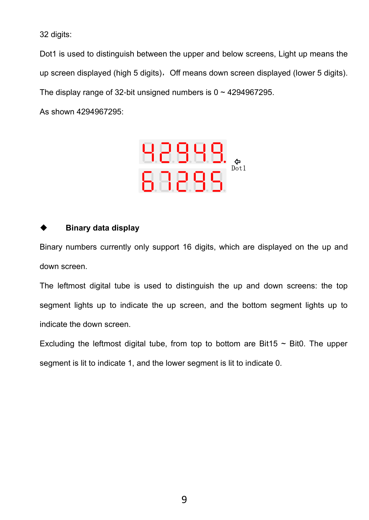32 digits:

Dot1 is used to distinguish between the upper and below screens, Light up means the up screen displayed (high 5 digits), Off means down screen displayed (lower 5 digits). The display range of 32-bit unsigned numbers is  $0 \sim 4294967295$ .

As shown 4294967295:



#### **Binary data display**

Binary numbers currently only support 16 digits, which are displayed on the up and down screen.

The leftmost digital tube is used to distinguish the up and down screens: the top segment lights up to indicate the up screen, and the bottom segment lights up to indicate the down screen.

Excluding the leftmost digital tube, from top to bottom are Bit15  $\sim$  Bit0. The upper segment is lit to indicate 1, and the lower segment is lit to indicate 0.

9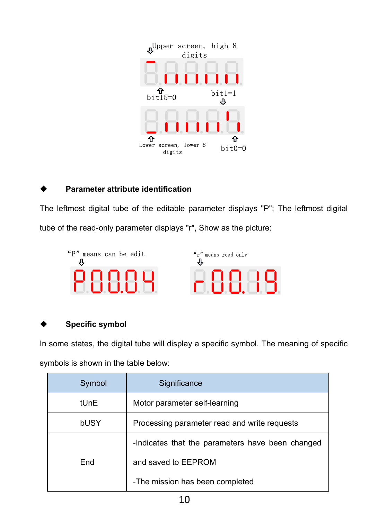

### **Parameter attribute identification**

The leftmost digital tube of the editable parameter displays "P"; The leftmost digital tube of the read-only parameter displays "r", Show as the picture:



#### **Specific symbol**

In some states, the digital tube will display a specific symbol. The meaning of specific

symbols is shown in the table below:

|                                                                                 | Lower screen, lower 8<br>$bit0=0$<br>digits                                  |  |
|---------------------------------------------------------------------------------|------------------------------------------------------------------------------|--|
| Parameter attribute identification                                              |                                                                              |  |
|                                                                                 | e leftmost digital tube of the editable parameter displays "P"; The leftmost |  |
| be of the read-only parameter displays "r", Show as the picture:                |                                                                              |  |
| "P" means can be edit<br>"r" means read only<br>IJ,<br>PAAAY<br>-88.39          |                                                                              |  |
| Specific symbol                                                                 |                                                                              |  |
| some states, the digital tube will display a specific symbol. The meaning of sp |                                                                              |  |
| mbols is shown in the table below:                                              |                                                                              |  |
| Symbol                                                                          | Significance                                                                 |  |
| tUnE                                                                            | Motor parameter self-learning                                                |  |
| bUSY                                                                            | Processing parameter read and write requests                                 |  |
|                                                                                 | -Indicates that the parameters have been changed                             |  |
| End                                                                             | and saved to EEPROM                                                          |  |
|                                                                                 | -The mission has been completed                                              |  |
| 10                                                                              |                                                                              |  |